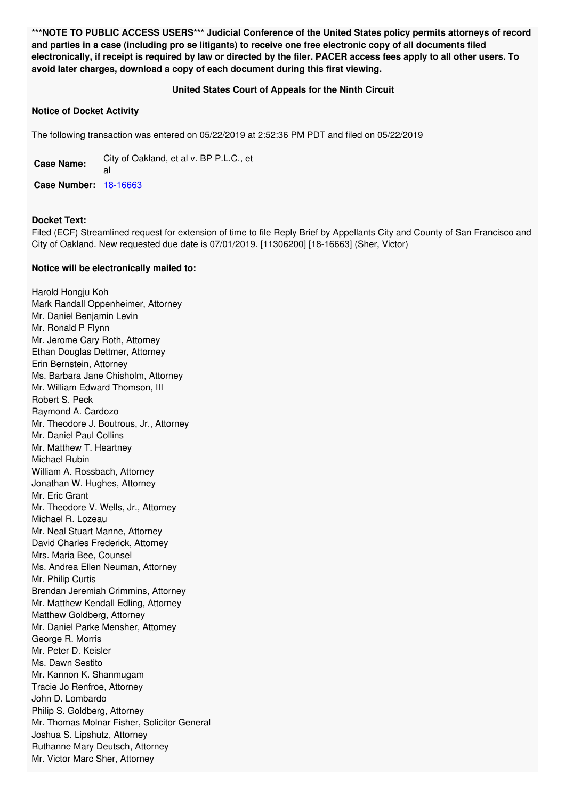**\*\*\*NOTE TO PUBLIC ACCESS USERS\*\*\* Judicial Conference of the United States policy permits attorneys of record** and parties in a case (including pro se litigants) to receive one free electronic copy of all documents filed electronically, if receipt is required by law or directed by the filer. PACER access fees apply to all other users. To **avoid later charges, download a copy of each document during this first viewing.**

## **United States Court of Appeals for the Ninth Circuit**

## **Notice of Docket Activity**

The following transaction was entered on 05/22/2019 at 2:52:36 PM PDT and filed on 05/22/2019

**Case Name:** City of Oakland, et al v. BP P.L.C., et al **Case Number:** [18-16663](https://ecf.ca9.uscourts.gov/n/beam/servlet/TransportRoom?servlet=DocketReportFilter.jsp&caseId=304946)

## **Docket Text:**

Filed (ECF) Streamlined request for extension of time to file Reply Brief by Appellants City and County of San Francisco and City of Oakland. New requested due date is 07/01/2019. [11306200] [18-16663] (Sher, Victor)

## **Notice will be electronically mailed to:**

Harold Hongju Koh Mark Randall Oppenheimer, Attorney Mr. Daniel Benjamin Levin Mr. Ronald P Flynn Mr. Jerome Cary Roth, Attorney Ethan Douglas Dettmer, Attorney Erin Bernstein, Attorney Ms. Barbara Jane Chisholm, Attorney Mr. William Edward Thomson, III Robert S. Peck Raymond A. Cardozo Mr. Theodore J. Boutrous, Jr., Attorney Mr. Daniel Paul Collins Mr. Matthew T. Heartney Michael Rubin William A. Rossbach, Attorney Jonathan W. Hughes, Attorney Mr. Eric Grant Mr. Theodore V. Wells, Jr., Attorney Michael R. Lozeau Mr. Neal Stuart Manne, Attorney David Charles Frederick, Attorney Mrs. Maria Bee, Counsel Ms. Andrea Ellen Neuman, Attorney Mr. Philip Curtis Brendan Jeremiah Crimmins, Attorney Mr. Matthew Kendall Edling, Attorney Matthew Goldberg, Attorney Mr. Daniel Parke Mensher, Attorney George R. Morris Mr. Peter D. Keisler Ms. Dawn Sestito Mr. Kannon K. Shanmugam Tracie Jo Renfroe, Attorney John D. Lombardo Philip S. Goldberg, Attorney Mr. Thomas Molnar Fisher, Solicitor General Joshua S. Lipshutz, Attorney Ruthanne Mary Deutsch, Attorney Mr. Victor Marc Sher, Attorney